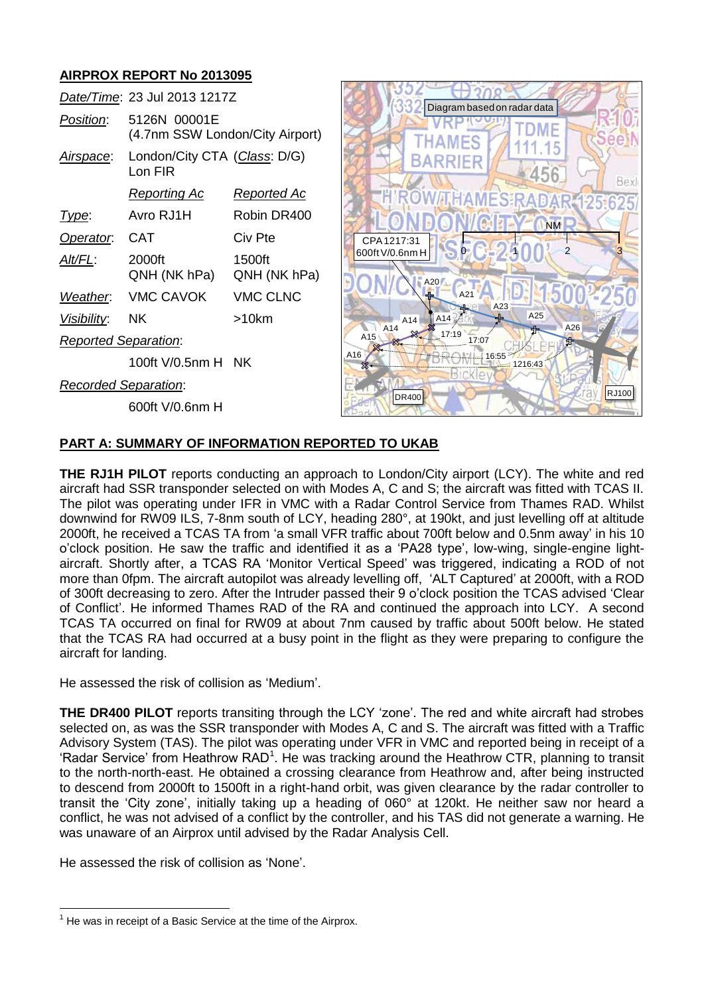## **AIRPROX REPORT No 2013095**

|                             | Date/Time: 23 Jul 2013 1217Z                    |                        |  |
|-----------------------------|-------------------------------------------------|------------------------|--|
| Position:                   | 5126N 00001E<br>(4.7nm SSW London/City Airport) |                        |  |
| Airspace:                   | London/City CTA (Class: D/G)<br>Lon FIR         |                        |  |
|                             | <u>Reporting Ac</u>                             | Reported Ac            |  |
| Type:                       | Avro RJ1H                                       | Robin DR400            |  |
| Operator.                   | CAT                                             | Civ Pte                |  |
| Alt/FL:                     | 2000ft<br>QNH (NK hPa)                          | 1500ft<br>QNH (NK hPa) |  |
|                             | Weather. VMC CAVOK                              | <b>VMC CLNC</b>        |  |
| <i>Visibility:</i>          | ΝK                                              | >10km                  |  |
| <b>Reported Separation:</b> |                                                 |                        |  |
|                             | 100ft V/0.5nm H NK                              |                        |  |
| <b>Recorded Separation:</b> |                                                 |                        |  |

600ft V/0.6nm H



## **PART A: SUMMARY OF INFORMATION REPORTED TO UKAB**

**THE RJ1H PILOT** reports conducting an approach to London/City airport (LCY). The white and red aircraft had SSR transponder selected on with Modes A, C and S; the aircraft was fitted with TCAS II. The pilot was operating under IFR in VMC with a Radar Control Service from Thames RAD. Whilst downwind for RW09 ILS, 7-8nm south of LCY, heading 280°, at 190kt, and just levelling off at altitude 2000ft, he received a TCAS TA from 'a small VFR traffic about 700ft below and 0.5nm away' in his 10 o'clock position. He saw the traffic and identified it as a 'PA28 type', low-wing, single-engine lightaircraft. Shortly after, a TCAS RA 'Monitor Vertical Speed' was triggered, indicating a ROD of not more than 0fpm. The aircraft autopilot was already levelling off, 'ALT Captured' at 2000ft, with a ROD of 300ft decreasing to zero. After the Intruder passed their 9 o'clock position the TCAS advised 'Clear of Conflict'. He informed Thames RAD of the RA and continued the approach into LCY. A second TCAS TA occurred on final for RW09 at about 7nm caused by traffic about 500ft below. He stated that the TCAS RA had occurred at a busy point in the flight as they were preparing to configure the aircraft for landing. **Position:** 5126N 00001E<br> **Altagge LondonColly Airport)**  $\frac{1}{\sqrt{114.16}}$ <br> **Altagge LondonColly CTA (Class DVG)**<br> **LondonColly Airport)**  $\frac{1}{\sqrt{114.16}}$ <br> **Basic Service at the time of Airport)**<br> **Basic Service at the A** 

He assessed the risk of collision as 'Medium'.

**THE DR400 PILOT** reports transiting through the LCY 'zone'. The red and white aircraft had strobes selected on, as was the SSR transponder with Modes A, C and S. The aircraft was fitted with a Traffic Advisory System (TAS). The pilot was operating under VFR in VMC and reported being in receipt of a 'Radar Service' from Heathrow RAD<sup>1</sup>. He was tracking around the Heathrow CTR, planning to transit to the north-north-east. He obtained a crossing clearance from Heathrow and, after being instructed to descend from 2000ft to 1500ft in a right-hand orbit, was given clearance by the radar controller to transit the 'City zone', initially taking up a heading of 060° at 120kt. He neither saw nor heard a conflict, he was not advised of a conflict by the controller, and his TAS did not generate a warning. He was unaware of an Airprox until advised by the Radar Analysis Cell.

He assessed the risk of collision as 'None'.

 $\overline{a}$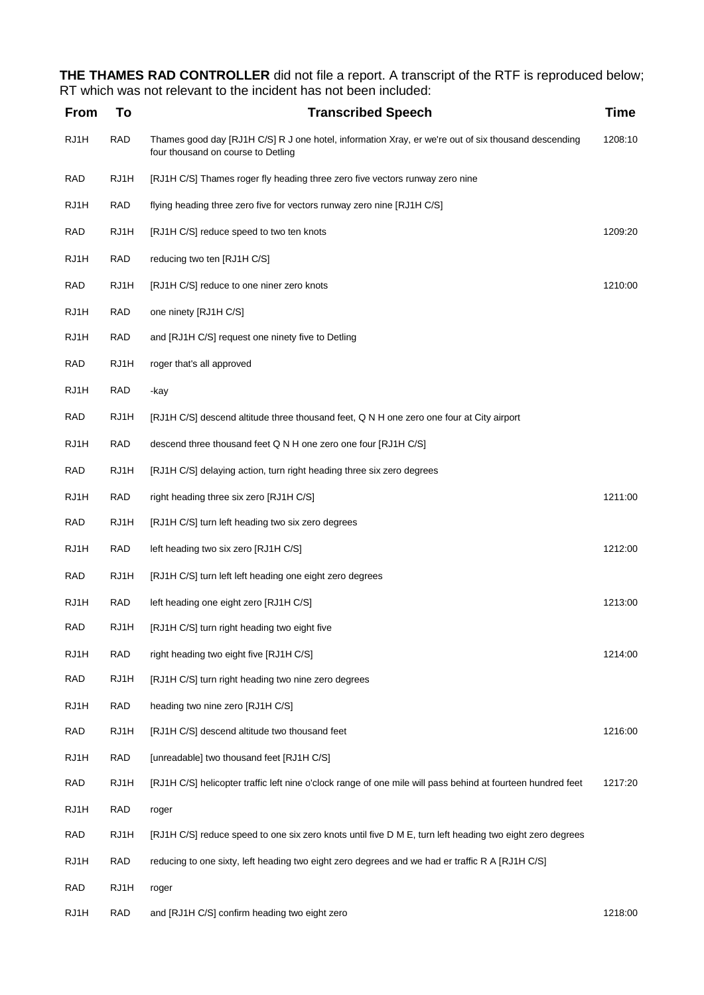**THE THAMES RAD CONTROLLER** did not file a report. A transcript of the RTF is reproduced below; RT which was not relevant to the incident has not been included:

| <b>From</b> | To         | <b>Transcribed Speech</b>                                                                                                                 | <b>Time</b> |
|-------------|------------|-------------------------------------------------------------------------------------------------------------------------------------------|-------------|
| RJ1H        | <b>RAD</b> | Thames good day [RJ1H C/S] R J one hotel, information Xray, er we're out of six thousand descending<br>four thousand on course to Detling | 1208:10     |
| <b>RAD</b>  | RJ1H       | [RJ1H C/S] Thames roger fly heading three zero five vectors runway zero nine                                                              |             |
| RJ1H        | <b>RAD</b> | flying heading three zero five for vectors runway zero nine [RJ1H C/S]                                                                    |             |
| <b>RAD</b>  | RJ1H       | [RJ1H C/S] reduce speed to two ten knots                                                                                                  | 1209:20     |
| RJ1H        | <b>RAD</b> | reducing two ten [RJ1H C/S]                                                                                                               |             |
| RAD         | RJ1H       | [RJ1H C/S] reduce to one niner zero knots                                                                                                 | 1210:00     |
| RJ1H        | <b>RAD</b> | one ninety [RJ1H C/S]                                                                                                                     |             |
| RJ1H        | <b>RAD</b> | and [RJ1H C/S] request one ninety five to Detling                                                                                         |             |
| <b>RAD</b>  | RJ1H       | roger that's all approved                                                                                                                 |             |
| RJ1H        | <b>RAD</b> | -kay                                                                                                                                      |             |
| <b>RAD</b>  | RJ1H       | [RJ1H C/S] descend altitude three thousand feet, Q N H one zero one four at City airport                                                  |             |
| RJ1H        | RAD        | descend three thousand feet Q N H one zero one four [RJ1H C/S]                                                                            |             |
| <b>RAD</b>  | RJ1H       | [RJ1H C/S] delaying action, turn right heading three six zero degrees                                                                     |             |
| RJ1H        | <b>RAD</b> | right heading three six zero [RJ1H C/S]                                                                                                   | 1211:00     |
| <b>RAD</b>  | RJ1H       | [RJ1H C/S] turn left heading two six zero degrees                                                                                         |             |
| RJ1H        | <b>RAD</b> | left heading two six zero [RJ1H C/S]                                                                                                      | 1212:00     |
| <b>RAD</b>  | RJ1H       | [RJ1H C/S] turn left left heading one eight zero degrees                                                                                  |             |
| RJ1H        | <b>RAD</b> | left heading one eight zero [RJ1H C/S]                                                                                                    | 1213:00     |
| RAD         | RJ1H       | [RJ1H C/S] turn right heading two eight five                                                                                              |             |
| RJ1H        | <b>RAD</b> | right heading two eight five [RJ1H C/S]                                                                                                   | 1214:00     |
| <b>RAD</b>  | RJ1H       | [RJ1H C/S] turn right heading two nine zero degrees                                                                                       |             |
| RJ1H        | RAD        | heading two nine zero [RJ1H C/S]                                                                                                          |             |
| <b>RAD</b>  | RJ1H       | [RJ1H C/S] descend altitude two thousand feet                                                                                             | 1216:00     |
| RJ1H        | RAD        | [unreadable] two thousand feet [RJ1H C/S]                                                                                                 |             |
| RAD         | RJ1H       | [RJ1H C/S] helicopter traffic left nine o'clock range of one mile will pass behind at fourteen hundred feet                               | 1217:20     |
| RJ1H        | <b>RAD</b> | roger                                                                                                                                     |             |
| <b>RAD</b>  | RJ1H       | [RJ1H C/S] reduce speed to one six zero knots until five D M E, turn left heading two eight zero degrees                                  |             |
| RJ1H        | RAD        | reducing to one sixty, left heading two eight zero degrees and we had er traffic R A [RJ1H C/S]                                           |             |
| <b>RAD</b>  | RJ1H       | roger                                                                                                                                     |             |
| RJ1H        | RAD        | and [RJ1H C/S] confirm heading two eight zero                                                                                             | 1218:00     |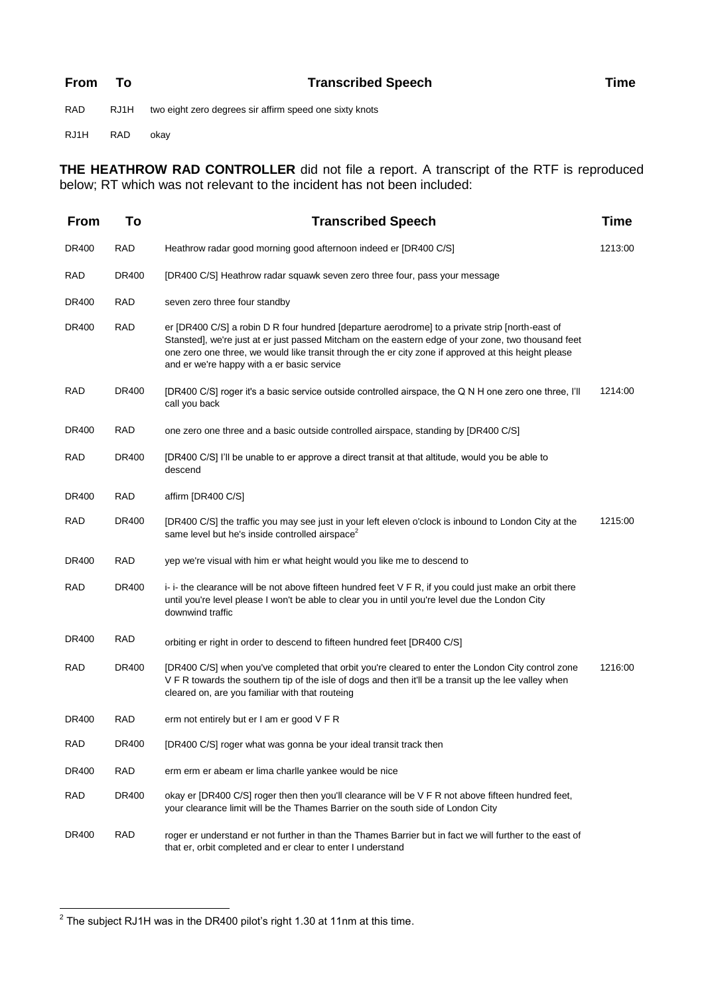| <b>From</b> | Т٥   | <b>Transcribed Speech</b>                               | Time |
|-------------|------|---------------------------------------------------------|------|
| <b>RAD</b>  | RJ1H | two eight zero degrees sir affirm speed one sixty knots |      |

RJ1H RAD okay

**THE HEATHROW RAD CONTROLLER** did not file a report. A transcript of the RTF is reproduced below; RT which was not relevant to the incident has not been included:

| <b>From</b>  | To         | <b>Transcribed Speech</b>                                                                                                                                                                                                                                                                                                                                    | Time    |
|--------------|------------|--------------------------------------------------------------------------------------------------------------------------------------------------------------------------------------------------------------------------------------------------------------------------------------------------------------------------------------------------------------|---------|
| DR400        | <b>RAD</b> | Heathrow radar good morning good afternoon indeed er [DR400 C/S]                                                                                                                                                                                                                                                                                             | 1213:00 |
| <b>RAD</b>   | DR400      | [DR400 C/S] Heathrow radar squawk seven zero three four, pass your message                                                                                                                                                                                                                                                                                   |         |
| DR400        | <b>RAD</b> | seven zero three four standby                                                                                                                                                                                                                                                                                                                                |         |
| DR400        | <b>RAD</b> | er [DR400 C/S] a robin D R four hundred [departure aerodrome] to a private strip [north-east of<br>Stansted], we're just at er just passed Mitcham on the eastern edge of your zone, two thousand feet<br>one zero one three, we would like transit through the er city zone if approved at this height please<br>and er we're happy with a er basic service |         |
| <b>RAD</b>   | DR400      | [DR400 C/S] roger it's a basic service outside controlled airspace, the Q N H one zero one three, I'll<br>call you back                                                                                                                                                                                                                                      | 1214:00 |
| DR400        | <b>RAD</b> | one zero one three and a basic outside controlled airspace, standing by [DR400 C/S]                                                                                                                                                                                                                                                                          |         |
| <b>RAD</b>   | DR400      | [DR400 C/S] I'll be unable to er approve a direct transit at that altitude, would you be able to<br>descend                                                                                                                                                                                                                                                  |         |
| <b>DR400</b> | <b>RAD</b> | affirm [DR400 C/S]                                                                                                                                                                                                                                                                                                                                           |         |
| <b>RAD</b>   | DR400      | [DR400 C/S] the traffic you may see just in your left eleven o'clock is inbound to London City at the<br>same level but he's inside controlled airspace <sup>2</sup>                                                                                                                                                                                         | 1215:00 |
| DR400        | <b>RAD</b> | yep we're visual with him er what height would you like me to descend to                                                                                                                                                                                                                                                                                     |         |
| <b>RAD</b>   | DR400      | i- i- the clearance will be not above fifteen hundred feet V F R, if you could just make an orbit there<br>until you're level please I won't be able to clear you in until you're level due the London City<br>downwind traffic                                                                                                                              |         |
| DR400        | <b>RAD</b> | orbiting er right in order to descend to fifteen hundred feet [DR400 C/S]                                                                                                                                                                                                                                                                                    |         |
| <b>RAD</b>   | DR400      | [DR400 C/S] when you've completed that orbit you're cleared to enter the London City control zone<br>V F R towards the southern tip of the isle of dogs and then it'll be a transit up the lee valley when<br>cleared on, are you familiar with that routeing                                                                                                | 1216:00 |
| <b>DR400</b> | <b>RAD</b> | erm not entirely but er I am er good V F R                                                                                                                                                                                                                                                                                                                   |         |
| <b>RAD</b>   | DR400      | [DR400 C/S] roger what was gonna be your ideal transit track then                                                                                                                                                                                                                                                                                            |         |
| <b>DR400</b> | <b>RAD</b> | erm erm er abeam er lima charlle yankee would be nice                                                                                                                                                                                                                                                                                                        |         |
| <b>RAD</b>   | DR400      | okay er [DR400 C/S] roger then then you'll clearance will be V F R not above fifteen hundred feet,<br>your clearance limit will be the Thames Barrier on the south side of London City                                                                                                                                                                       |         |
| DR400        | <b>RAD</b> | roger er understand er not further in than the Thames Barrier but in fact we will further to the east of<br>that er, orbit completed and er clear to enter I understand                                                                                                                                                                                      |         |

 2 The subject RJ1H was in the DR400 pilot's right 1.30 at 11nm at this time.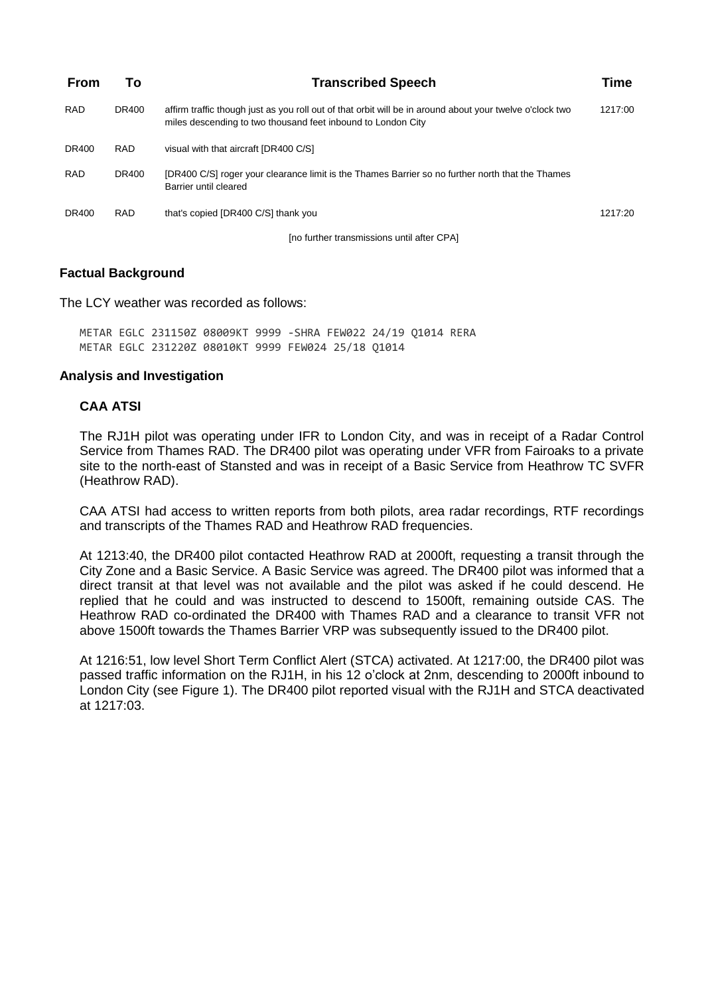| <b>From</b>  | To         | <b>Transcribed Speech</b>                                                                                                                                                | Time    |
|--------------|------------|--------------------------------------------------------------------------------------------------------------------------------------------------------------------------|---------|
| <b>RAD</b>   | DR400      | affirm traffic though just as you roll out of that orbit will be in around about your twelve o'clock two<br>miles descending to two thousand feet inbound to London City | 1217:00 |
| DR400        | RAD.       | visual with that aircraft [DR400 C/S]                                                                                                                                    |         |
| <b>RAD</b>   | DR400      | [DR400 C/S] roger your clearance limit is the Thames Barrier so no further north that the Thames<br>Barrier until cleared                                                |         |
| <b>DR400</b> | <b>RAD</b> | that's copied (DR400 C/S) thank you                                                                                                                                      | 1217:20 |
|              |            | [no further transmissions until after CPA]                                                                                                                               |         |

### **Factual Background**

The LCY weather was recorded as follows:

METAR EGLC 231150Z 08009KT 9999 -SHRA FEW022 24/19 Q1014 RERA METAR EGLC 231220Z 08010KT 9999 FEW024 25/18 Q1014

#### **Analysis and Investigation**

### **CAA ATSI**

The RJ1H pilot was operating under IFR to London City, and was in receipt of a Radar Control Service from Thames RAD. The DR400 pilot was operating under VFR from Fairoaks to a private site to the north-east of Stansted and was in receipt of a Basic Service from Heathrow TC SVFR (Heathrow RAD).

CAA ATSI had access to written reports from both pilots, area radar recordings, RTF recordings and transcripts of the Thames RAD and Heathrow RAD frequencies.

At 1213:40, the DR400 pilot contacted Heathrow RAD at 2000ft, requesting a transit through the City Zone and a Basic Service. A Basic Service was agreed. The DR400 pilot was informed that a direct transit at that level was not available and the pilot was asked if he could descend. He replied that he could and was instructed to descend to 1500ft, remaining outside CAS. The Heathrow RAD co-ordinated the DR400 with Thames RAD and a clearance to transit VFR not above 1500ft towards the Thames Barrier VRP was subsequently issued to the DR400 pilot.

At 1216:51, low level Short Term Conflict Alert (STCA) activated. At 1217:00, the DR400 pilot was passed traffic information on the RJ1H, in his 12 o'clock at 2nm, descending to 2000ft inbound to London City (see Figure 1). The DR400 pilot reported visual with the RJ1H and STCA deactivated at 1217:03.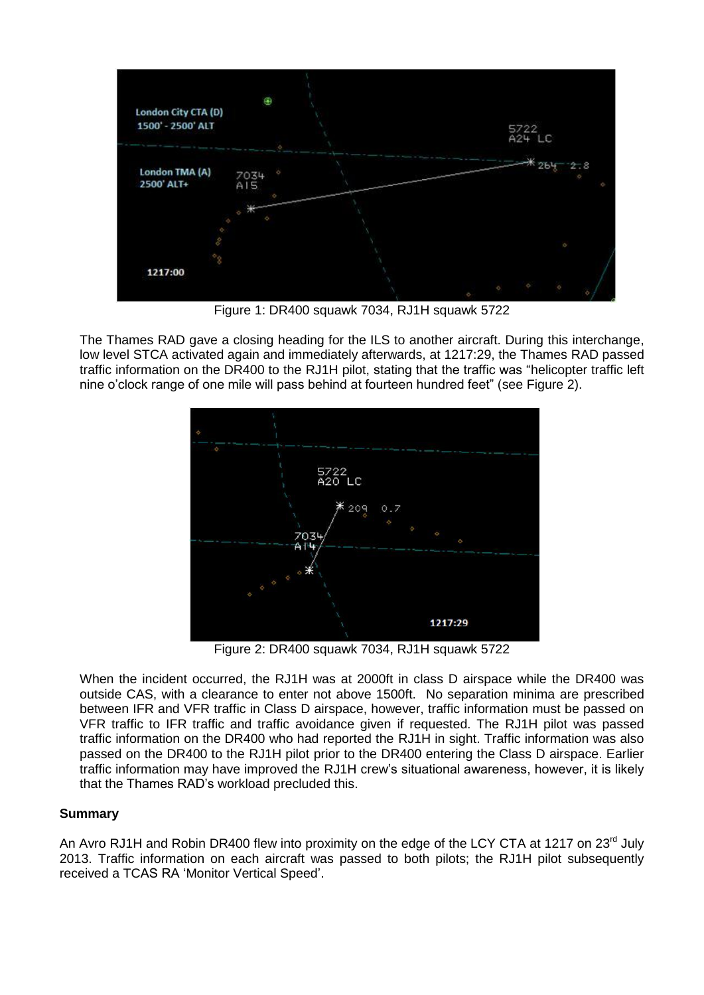

Figure 1: DR400 squawk 7034, RJ1H squawk 5722

The Thames RAD gave a closing heading for the ILS to another aircraft. During this interchange, low level STCA activated again and immediately afterwards, at 1217:29, the Thames RAD passed traffic information on the DR400 to the RJ1H pilot, stating that the traffic was "helicopter traffic left nine o'clock range of one mile will pass behind at fourteen hundred feet" (see Figure 2).



Figure 2: DR400 squawk 7034, RJ1H squawk 5722

When the incident occurred, the RJ1H was at 2000ft in class D airspace while the DR400 was outside CAS, with a clearance to enter not above 1500ft. No separation minima are prescribed between IFR and VFR traffic in Class D airspace, however, traffic information must be passed on VFR traffic to IFR traffic and traffic avoidance given if requested. The RJ1H pilot was passed traffic information on the DR400 who had reported the RJ1H in sight. Traffic information was also passed on the DR400 to the RJ1H pilot prior to the DR400 entering the Class D airspace. Earlier traffic information may have improved the RJ1H crew's situational awareness, however, it is likely that the Thames RAD's workload precluded this.

### **Summary**

An Avro RJ1H and Robin DR400 flew into proximity on the edge of the LCY CTA at 1217 on 23<sup>rd</sup> July 2013. Traffic information on each aircraft was passed to both pilots; the RJ1H pilot subsequently received a TCAS RA 'Monitor Vertical Speed'.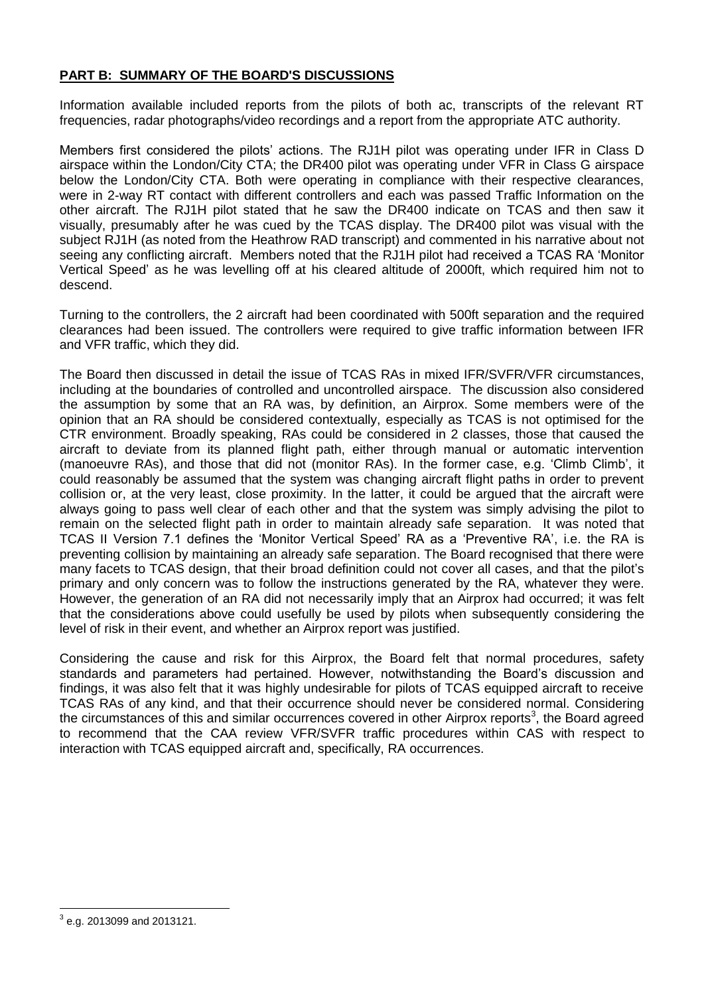### **PART B: SUMMARY OF THE BOARD'S DISCUSSIONS**

Information available included reports from the pilots of both ac, transcripts of the relevant RT frequencies, radar photographs/video recordings and a report from the appropriate ATC authority.

Members first considered the pilots' actions. The RJ1H pilot was operating under IFR in Class D airspace within the London/City CTA; the DR400 pilot was operating under VFR in Class G airspace below the London/City CTA. Both were operating in compliance with their respective clearances, were in 2-way RT contact with different controllers and each was passed Traffic Information on the other aircraft. The RJ1H pilot stated that he saw the DR400 indicate on TCAS and then saw it visually, presumably after he was cued by the TCAS display. The DR400 pilot was visual with the subject RJ1H (as noted from the Heathrow RAD transcript) and commented in his narrative about not seeing any conflicting aircraft. Members noted that the RJ1H pilot had received a TCAS RA 'Monitor Vertical Speed' as he was levelling off at his cleared altitude of 2000ft, which required him not to descend.

Turning to the controllers, the 2 aircraft had been coordinated with 500ft separation and the required clearances had been issued. The controllers were required to give traffic information between IFR and VFR traffic, which they did.

The Board then discussed in detail the issue of TCAS RAs in mixed IFR/SVFR/VFR circumstances, including at the boundaries of controlled and uncontrolled airspace. The discussion also considered the assumption by some that an RA was, by definition, an Airprox. Some members were of the opinion that an RA should be considered contextually, especially as TCAS is not optimised for the CTR environment. Broadly speaking, RAs could be considered in 2 classes, those that caused the aircraft to deviate from its planned flight path, either through manual or automatic intervention (manoeuvre RAs), and those that did not (monitor RAs). In the former case, e.g. 'Climb Climb', it could reasonably be assumed that the system was changing aircraft flight paths in order to prevent collision or, at the very least, close proximity. In the latter, it could be argued that the aircraft were always going to pass well clear of each other and that the system was simply advising the pilot to remain on the selected flight path in order to maintain already safe separation. It was noted that TCAS II Version 7.1 defines the 'Monitor Vertical Speed' RA as a 'Preventive RA', i.e. the RA is preventing collision by maintaining an already safe separation. The Board recognised that there were many facets to TCAS design, that their broad definition could not cover all cases, and that the pilot's primary and only concern was to follow the instructions generated by the RA, whatever they were. However, the generation of an RA did not necessarily imply that an Airprox had occurred; it was felt that the considerations above could usefully be used by pilots when subsequently considering the level of risk in their event, and whether an Airprox report was justified.

Considering the cause and risk for this Airprox, the Board felt that normal procedures, safety standards and parameters had pertained. However, notwithstanding the Board's discussion and findings, it was also felt that it was highly undesirable for pilots of TCAS equipped aircraft to receive TCAS RAs of any kind, and that their occurrence should never be considered normal. Considering the circumstances of this and similar occurrences covered in other Airprox reports<sup>3</sup>, the Board agreed to recommend that the CAA review VFR/SVFR traffic procedures within CAS with respect to interaction with TCAS equipped aircraft and, specifically, RA occurrences.

 $\overline{a}$  $^3$  e.g. 2013099 and 2013121.